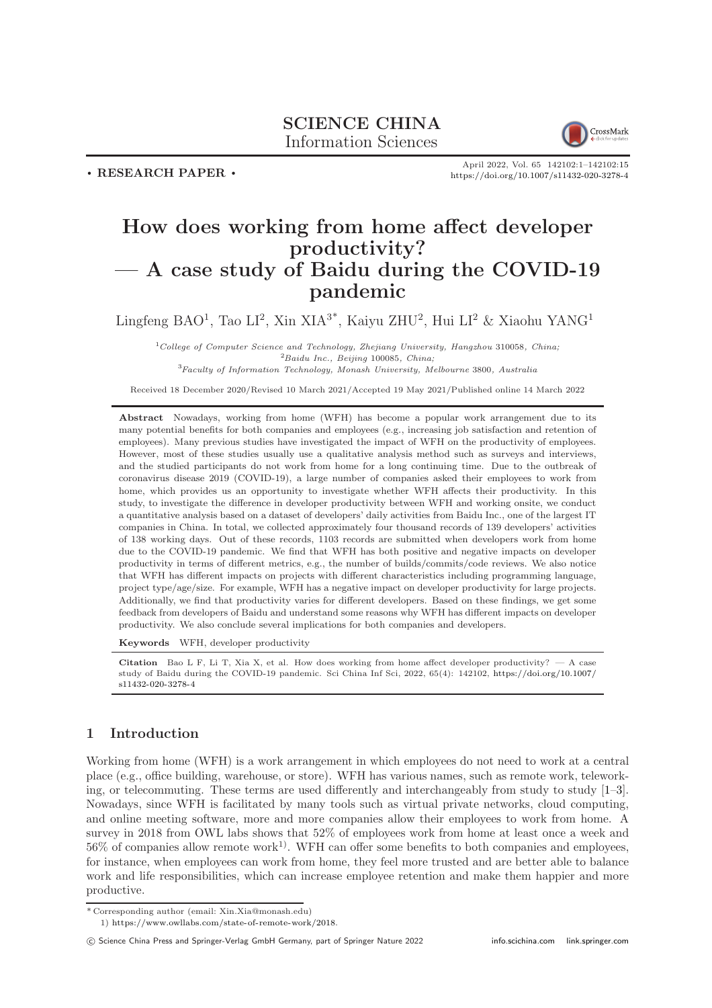

. RESEARCH PAPER .

April 2022, Vol. 65 142102:1–142102[:15](#page-14-0) <https://doi.org/10.1007/s11432-020-3278-4>

# How does working from home affect developer productivity? — A case study of Baidu during the COVID-19 pandemic

Lingfeng BAO<sup>1</sup>, Tao LI<sup>2</sup>, Xin XIA<sup>3\*</sup>, Kaiyu ZHU<sup>2</sup>, Hui LI<sup>2</sup> & Xiaohu YANG<sup>1</sup>

 $1$ College of Computer Science and Technology, Zhejiang University, Hangzhou 310058, China;  ${}^{2}$ Baidu Inc., Beijing 100085, China; <sup>3</sup>Faculty of Information Technology, Monash University, Melbourne 3800, Australia

Received 18 December 2020/Revised 10 March 2021/Accepted 19 May 2021/Published online 14 March 2022

Abstract Nowadays, working from home (WFH) has become a popular work arrangement due to its many potential benefits for both companies and employees (e.g., increasing job satisfaction and retention of employees). Many previous studies have investigated the impact of WFH on the productivity of employees. However, most of these studies usually use a qualitative analysis method such as surveys and interviews, and the studied participants do not work from home for a long continuing time. Due to the outbreak of coronavirus disease 2019 (COVID-19), a large number of companies asked their employees to work from home, which provides us an opportunity to investigate whether WFH affects their productivity. In this study, to investigate the difference in developer productivity between WFH and working onsite, we conduct a quantitative analysis based on a dataset of developers' daily activities from Baidu Inc., one of the largest IT companies in China. In total, we collected approximately four thousand records of 139 developers' activities of 138 working days. Out of these records, 1103 records are submitted when developers work from home due to the COVID-19 pandemic. We find that WFH has both positive and negative impacts on developer productivity in terms of different metrics, e.g., the number of builds/commits/code reviews. We also notice that WFH has different impacts on projects with different characteristics including programming language, project type/age/size. For example, WFH has a negative impact on developer productivity for large projects. Additionally, we find that productivity varies for different developers. Based on these findings, we get some feedback from developers of Baidu and understand some reasons why WFH has different impacts on developer productivity. We also conclude several implications for both companies and developers.

Keywords WFH, developer productivity

Citation Bao L F, Li T, Xia X, et al. How does working from home affect developer productivity?  $-A$  case study of Baidu during the COVID-19 pandemic. Sci China Inf Sci, 2022, 65(4): 142102, [https://doi.org/10.1007/](https://doi.org/10.1007/s11432-020-3278-4) [s11432-020-3278-4](https://doi.org/10.1007/s11432-020-3278-4)

# 1 Introduction

Working from home (WFH) is a work arrangement in which employees do not need to work at a central place (e.g., office building, warehouse, or store). WFH has various names, such as remote work, teleworking, or telecommuting. These terms are used differently and interchangeably from study to study [\[1](#page-12-0)[–3\]](#page-12-1). Nowadays, since WFH is facilitated by many tools such as virtual private networks, cloud computing, and online meeting software, more and more companies allow their employees to work from home. A survey in 2018 from OWL labs shows that 52% of employees work from home at least once a week and  $56\%$  of companies allow remote work<sup>1)</sup>. WFH can offer some benefits to both companies and employees, for instance, when employees can work from home, they feel more trusted and are better able to balance work and life responsibilities, which can increase employee retention and make them happier and more productive.

<sup>\*</sup> Corresponding author (email: Xin.Xia@monash.edu)

<sup>1)</sup> [https://www.owllabs.com/state-of-remote-work/2018.](https://www.owllabs.com/state-of-remote-work/2018)

c Science China Press and Springer-Verlag GmbH Germany, part of Springer Nature 2022 <info.scichina.com><link.springer.com>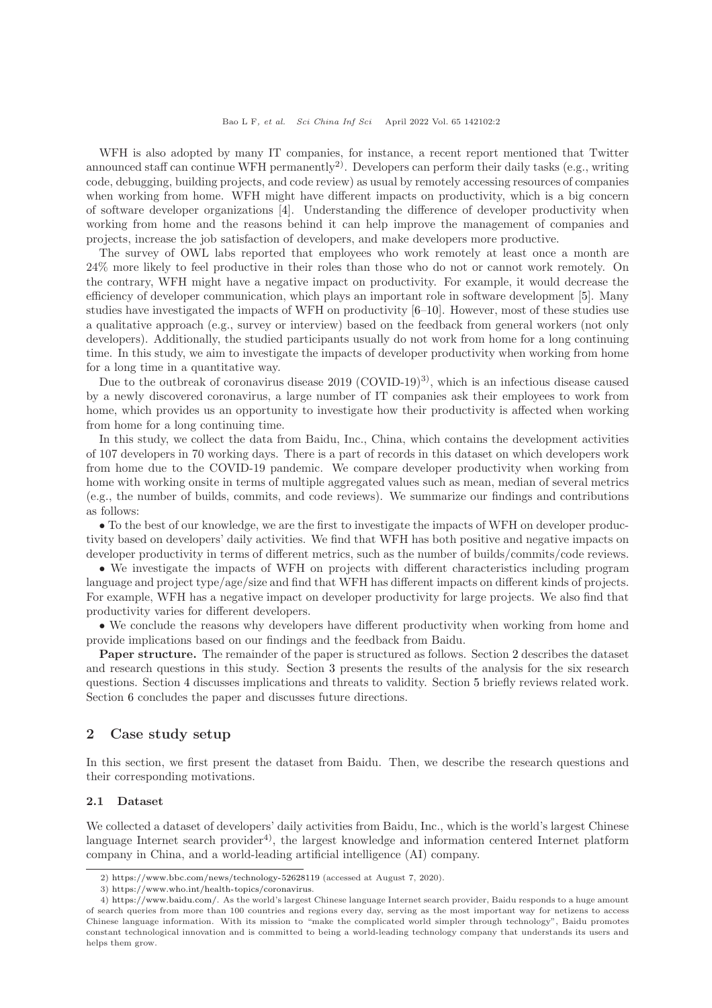WFH is also adopted by many IT companies, for instance, a recent report mentioned that Twitter announced staff can continue WFH permanently<sup>2)</sup>. Developers can perform their daily tasks (e.g., writing code, debugging, building projects, and code review) as usual by remotely accessing resources of companies when working from home. WFH might have different impacts on productivity, which is a big concern of software developer organizations [\[4\]](#page-12-2). Understanding the difference of developer productivity when working from home and the reasons behind it can help improve the management of companies and projects, increase the job satisfaction of developers, and make developers more productive.

The survey of OWL labs reported that employees who work remotely at least once a month are 24% more likely to feel productive in their roles than those who do not or cannot work remotely. On the contrary, WFH might have a negative impact on productivity. For example, it would decrease the efficiency of developer communication, which plays an important role in software development [\[5\]](#page-12-3). Many studies have investigated the impacts of WFH on productivity [\[6](#page-12-4)[–10\]](#page-13-0). However, most of these studies use a qualitative approach (e.g., survey or interview) based on the feedback from general workers (not only developers). Additionally, the studied participants usually do not work from home for a long continuing time. In this study, we aim to investigate the impacts of developer productivity when working from home for a long time in a quantitative way.

Due to the outbreak of coronavirus disease  $2019$  (COVID-19)<sup>3)</sup>, which is an infectious disease caused by a newly discovered coronavirus, a large number of IT companies ask their employees to work from home, which provides us an opportunity to investigate how their productivity is affected when working from home for a long continuing time.

In this study, we collect the data from Baidu, Inc., China, which contains the development activities of 107 developers in 70 working days. There is a part of records in this dataset on which developers work from home due to the COVID-19 pandemic. We compare developer productivity when working from home with working onsite in terms of multiple aggregated values such as mean, median of several metrics (e.g., the number of builds, commits, and code reviews). We summarize our findings and contributions as follows:

• To the best of our knowledge, we are the first to investigate the impacts of WFH on developer productivity based on developers' daily activities. We find that WFH has both positive and negative impacts on developer productivity in terms of different metrics, such as the number of builds/commits/code reviews.

• We investigate the impacts of WFH on projects with different characteristics including program language and project type/age/size and find that WFH has different impacts on different kinds of projects. For example, WFH has a negative impact on developer productivity for large projects. We also find that productivity varies for different developers.

• We conclude the reasons why developers have different productivity when working from home and provide implications based on our findings and the feedback from Baidu.

Paper structure. The remainder of the paper is structured as follows. Section [2](#page-1-0) describes the dataset and research questions in this study. Section [3](#page-4-0) presents the results of the analysis for the six research questions. Section [4](#page-9-0) discusses implications and threats to validity. Section [5](#page-11-0) briefly reviews related work. Section [6](#page-12-5) concludes the paper and discusses future directions.

## <span id="page-1-0"></span>2 Case study setup

In this section, we first present the dataset from Baidu. Then, we describe the research questions and their corresponding motivations.

#### <span id="page-1-1"></span>2.1 Dataset

We collected a dataset of developers' daily activities from Baidu, Inc., which is the world's largest Chinese language Internet search provider<sup>4</sup>, the largest knowledge and information centered Internet platform company in China, and a world-leading artificial intelligence (AI) company.

<sup>2)</sup> <https://www.bbc.com/news/technology-52628119> (accessed at August 7, 2020).

<sup>3)</sup> [https://www.who.int/health-topics/coronavirus.](https://www.who.int/health-topics/coronavirus)

<sup>4)</sup> [https://www.baidu.com/.](https://www.baidu.com/) As the world's largest Chinese language Internet search provider, Baidu responds to a huge amount of search queries from more than 100 countries and regions every day, serving as the most important way for netizens to access Chinese language information. With its mission to "make the complicated world simpler through technology", Baidu promotes constant technological innovation and is committed to being a world-leading technology company that understands its users and helps them grow.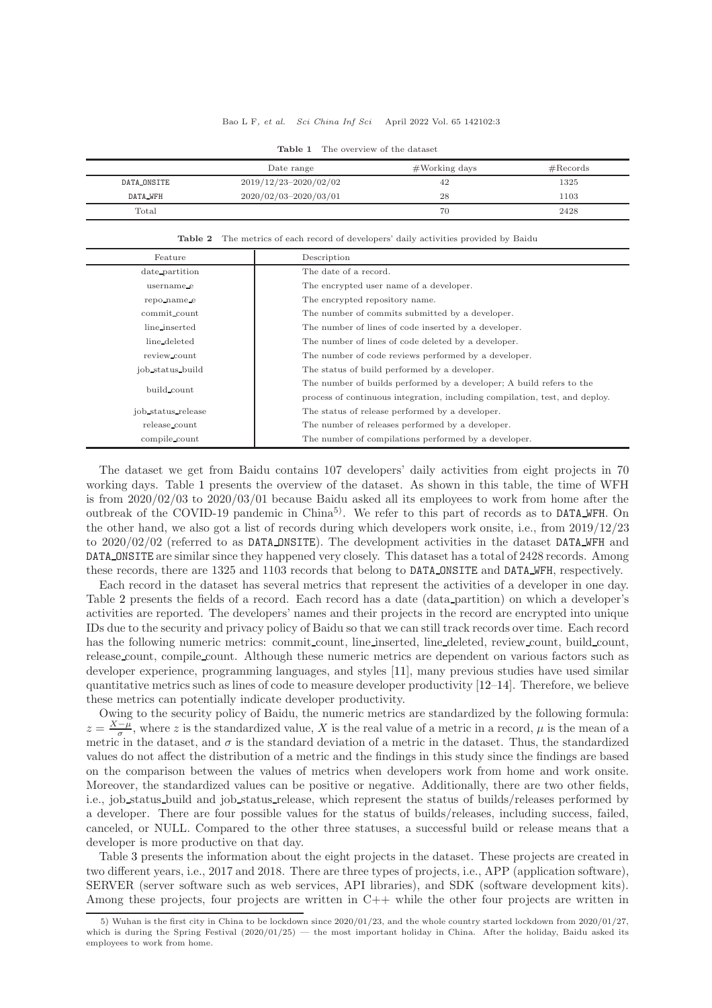#### Bao L F, et al. Sci China Inf Sci April 2022 Vol. 65 142102:3

<span id="page-2-0"></span>

|             | Date range                | $#Working$ days | # Records |
|-------------|---------------------------|-----------------|-----------|
| DATA_ONSITE | $2019/12/23 - 2020/02/02$ | 42              | 1325      |
| DATA_WFH    | 2020/02/03-2020/03/01     | 28              | 1103      |
| Total       |                           | 70              | 2428      |

Table 1 The overview of the dataset

Table 2 The metrics of each record of developers' daily activities provided by Baidu

<span id="page-2-1"></span>

| Feature            | Description                                                                 |
|--------------------|-----------------------------------------------------------------------------|
| date_partition     | The date of a record.                                                       |
| username_e         | The encrypted user name of a developer.                                     |
| repo_name_e        | The encrypted repository name.                                              |
| commit_count       | The number of commits submitted by a developer.                             |
| line_inserted      | The number of lines of code inserted by a developer.                        |
| line_deleted       | The number of lines of code deleted by a developer.                         |
| review_count       | The number of code reviews performed by a developer.                        |
| job status build   | The status of build performed by a developer.                               |
| build_count        | The number of builds performed by a developer; A build refers to the        |
|                    | process of continuous integration, including compilation, test, and deploy. |
| job_status_release | The status of release performed by a developer.                             |
| release_count      | The number of releases performed by a developer.                            |
| compile_count      | The number of compilations performed by a developer.                        |

The dataset we get from Baidu contains 107 developers' daily activities from eight projects in 70 working days. Table [1](#page-2-0) presents the overview of the dataset. As shown in this table, the time of WFH is from 2020/02/03 to 2020/03/01 because Baidu asked all its employees to work from home after the outbreak of the COVID-19 pandemic in  $China<sup>5</sup>$ . We refer to this part of records as to DATA WFH. On the other hand, we also got a list of records during which developers work onsite, i.e., from 2019/12/23 to 2020/02/02 (referred to as DATA ONSITE). The development activities in the dataset DATA WFH and DATA ONSITE are similar since they happened very closely. This dataset has a total of 2428 records. Among these records, there are 1325 and 1103 records that belong to DATA ONSITE and DATA WFH, respectively.

Each record in the dataset has several metrics that represent the activities of a developer in one day. Table [2](#page-2-1) presents the fields of a record. Each record has a date (data partition) on which a developer's activities are reported. The developers' names and their projects in the record are encrypted into unique IDs due to the security and privacy policy of Baidu so that we can still track records over time. Each record has the following numeric metrics: commit count, line inserted, line deleted, review count, build count, release count, compile count. Although these numeric metrics are dependent on various factors such as developer experience, programming languages, and styles [\[11\]](#page-13-1), many previous studies have used similar quantitative metrics such as lines of code to measure developer productivity [\[12](#page-13-2)[–14\]](#page-13-3). Therefore, we believe these metrics can potentially indicate developer productivity.

Owing to the security policy of Baidu, the numeric metrics are standardized by the following formula:  $z = \frac{X-\mu}{\sigma}$ , where z is the standardized value, X is the real value of a metric in a record,  $\mu$  is the mean of a metric in the dataset, and  $\sigma$  is the standard deviation of a metric in the dataset. Thus, the standardized values do not affect the distribution of a metric and the findings in this study since the findings are based on the comparison between the values of metrics when developers work from home and work onsite. Moreover, the standardized values can be positive or negative. Additionally, there are two other fields, i.e., job status build and job status release, which represent the status of builds/releases performed by a developer. There are four possible values for the status of builds/releases, including success, failed, canceled, or NULL. Compared to the other three statuses, a successful build or release means that a developer is more productive on that day.

Table [3](#page-3-0) presents the information about the eight projects in the dataset. These projects are created in two different years, i.e., 2017 and 2018. There are three types of projects, i.e., APP (application software), SERVER (server software such as web services, API libraries), and SDK (software development kits). Among these projects, four projects are written in  $C_{++}$  while the other four projects are written in

<sup>5)</sup> Wuhan is the first city in China to be lockdown since 2020/01/23, and the whole country started lockdown from 2020/01/27, which is during the Spring Festival  $(2020/01/25)$  — the most important holiday in China. After the holiday, Baidu asked its employees to work from home.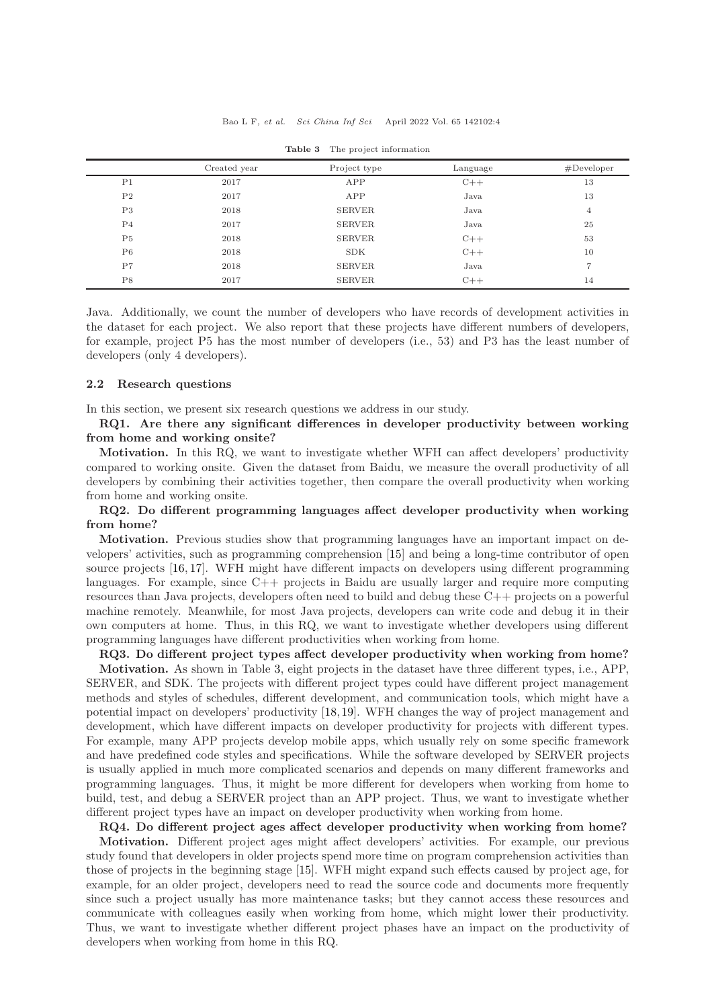<span id="page-3-0"></span>

|                | Created year | Project type  | Language | $#$ Developer  |
|----------------|--------------|---------------|----------|----------------|
| P <sub>1</sub> | 2017         | APP           | $C++$    | 13             |
| P <sub>2</sub> | 2017         | APP           | Java     | 13             |
| P3             | 2018         | <b>SERVER</b> | Java     | $\overline{4}$ |
| P <sub>4</sub> | 2017         | <b>SERVER</b> | Java     | 25             |
| P <sub>5</sub> | 2018         | <b>SERVER</b> | $C++$    | 53             |
| P6             | 2018         | <b>SDK</b>    | $C++$    | 10             |
| P7             | 2018         | <b>SERVER</b> | Java     | 7              |
| P8             | 2017         | <b>SERVER</b> | $C++$    | 14             |

Table 3 The project information

Java. Additionally, we count the number of developers who have records of development activities in the dataset for each project. We also report that these projects have different numbers of developers, for example, project P5 has the most number of developers (i.e., 53) and P3 has the least number of developers (only 4 developers).

#### 2.2 Research questions

In this section, we present six research questions we address in our study.

RQ1. Are there any significant differences in developer productivity between working from home and working onsite?

Motivation. In this RQ, we want to investigate whether WFH can affect developers' productivity compared to working onsite. Given the dataset from Baidu, we measure the overall productivity of all developers by combining their activities together, then compare the overall productivity when working from home and working onsite.

## RQ2. Do different programming languages affect developer productivity when working from home?

Motivation. Previous studies show that programming languages have an important impact on developers' activities, such as programming comprehension [\[15\]](#page-13-4) and being a long-time contributor of open source projects [\[16,](#page-13-5) [17\]](#page-13-6). WFH might have different impacts on developers using different programming languages. For example, since C++ projects in Baidu are usually larger and require more computing resources than Java projects, developers often need to build and debug these C++ projects on a powerful machine remotely. Meanwhile, for most Java projects, developers can write code and debug it in their own computers at home. Thus, in this RQ, we want to investigate whether developers using different programming languages have different productivities when working from home.

RQ3. Do different project types affect developer productivity when working from home? Motivation. As shown in Table [3,](#page-3-0) eight projects in the dataset have three different types, i.e., APP, SERVER, and SDK. The projects with different project types could have different project management methods and styles of schedules, different development, and communication tools, which might have a potential impact on developers' productivity [\[18,](#page-13-7)[19\]](#page-13-8). WFH changes the way of project management and development, which have different impacts on developer productivity for projects with different types. For example, many APP projects develop mobile apps, which usually rely on some specific framework and have predefined code styles and specifications. While the software developed by SERVER projects is usually applied in much more complicated scenarios and depends on many different frameworks and programming languages. Thus, it might be more different for developers when working from home to build, test, and debug a SERVER project than an APP project. Thus, we want to investigate whether different project types have an impact on developer productivity when working from home.

RQ4. Do different project ages affect developer productivity when working from home?

Motivation. Different project ages might affect developers' activities. For example, our previous study found that developers in older projects spend more time on program comprehension activities than those of projects in the beginning stage [\[15\]](#page-13-4). WFH might expand such effects caused by project age, for example, for an older project, developers need to read the source code and documents more frequently since such a project usually has more maintenance tasks; but they cannot access these resources and communicate with colleagues easily when working from home, which might lower their productivity. Thus, we want to investigate whether different project phases have an impact on the productivity of developers when working from home in this RQ.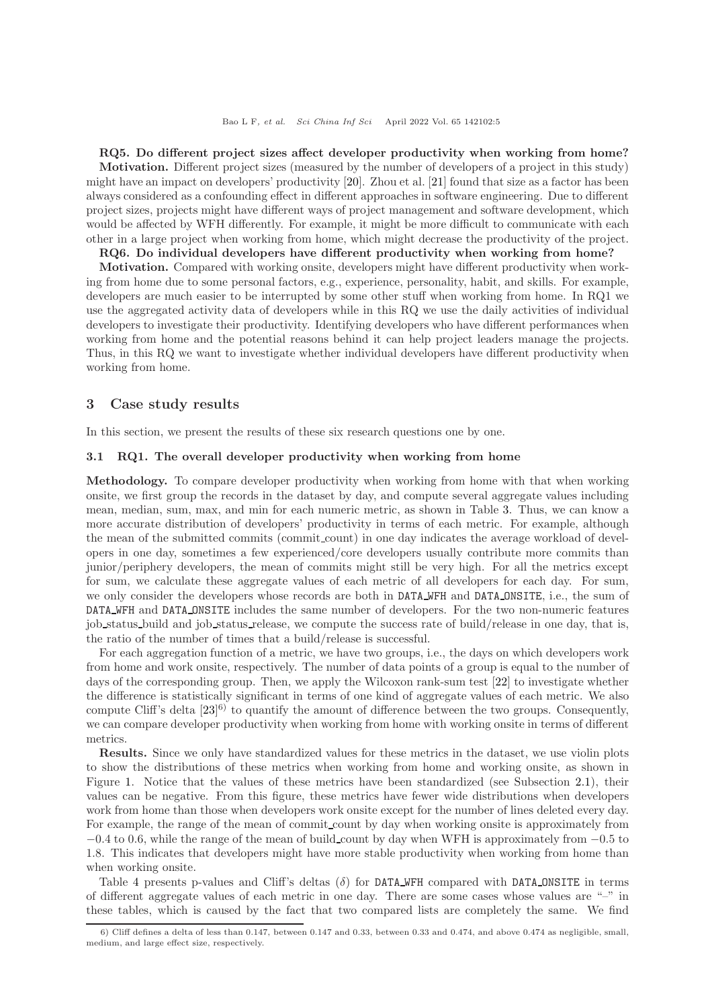RQ5. Do different project sizes affect developer productivity when working from home? Motivation. Different project sizes (measured by the number of developers of a project in this study) might have an impact on developers' productivity [\[20\]](#page-13-9). Zhou et al. [\[21\]](#page-13-10) found that size as a factor has been always considered as a confounding effect in different approaches in software engineering. Due to different project sizes, projects might have different ways of project management and software development, which would be affected by WFH differently. For example, it might be more difficult to communicate with each other in a large project when working from home, which might decrease the productivity of the project.

RQ6. Do individual developers have different productivity when working from home?

Motivation. Compared with working onsite, developers might have different productivity when working from home due to some personal factors, e.g., experience, personality, habit, and skills. For example, developers are much easier to be interrupted by some other stuff when working from home. In RQ1 we use the aggregated activity data of developers while in this RQ we use the daily activities of individual developers to investigate their productivity. Identifying developers who have different performances when working from home and the potential reasons behind it can help project leaders manage the projects. Thus, in this RQ we want to investigate whether individual developers have different productivity when working from home.

## <span id="page-4-0"></span>3 Case study results

In this section, we present the results of these six research questions one by one.

## 3.1 RQ1. The overall developer productivity when working from home

Methodology. To compare developer productivity when working from home with that when working onsite, we first group the records in the dataset by day, and compute several aggregate values including mean, median, sum, max, and min for each numeric metric, as shown in Table [3.](#page-3-0) Thus, we can know a more accurate distribution of developers' productivity in terms of each metric. For example, although the mean of the submitted commits (commit count) in one day indicates the average workload of developers in one day, sometimes a few experienced/core developers usually contribute more commits than junior/periphery developers, the mean of commits might still be very high. For all the metrics except for sum, we calculate these aggregate values of each metric of all developers for each day. For sum, we only consider the developers whose records are both in DATA WFH and DATA ONSITE, i.e., the sum of DATA WFH and DATA ONSITE includes the same number of developers. For the two non-numeric features job status build and job status release, we compute the success rate of build/release in one day, that is, the ratio of the number of times that a build/release is successful.

For each aggregation function of a metric, we have two groups, i.e., the days on which developers work from home and work onsite, respectively. The number of data points of a group is equal to the number of days of the corresponding group. Then, we apply the Wilcoxon rank-sum test [\[22\]](#page-13-11) to investigate whether the difference is statistically significant in terms of one kind of aggregate values of each metric. We also compute Cliff's delta  $[23]^{6}$  to quantify the amount of difference between the two groups. Consequently, we can compare developer productivity when working from home with working onsite in terms of different metrics.

Results. Since we only have standardized values for these metrics in the dataset, we use violin plots to show the distributions of these metrics when working from home and working onsite, as shown in Figure [1.](#page-5-0) Notice that the values of these metrics have been standardized (see Subsection [2.1\)](#page-1-1), their values can be negative. From this figure, these metrics have fewer wide distributions when developers work from home than those when developers work onsite except for the number of lines deleted every day. For example, the range of the mean of commit count by day when working onsite is approximately from  $-0.4$  to 0.6, while the range of the mean of build count by day when WFH is approximately from  $-0.5$  to 1.8. This indicates that developers might have more stable productivity when working from home than when working onsite.

Table [4](#page-5-1) presents p-values and Cliff's deltas  $(\delta)$  for DATA WFH compared with DATA ONSITE in terms of different aggregate values of each metric in one day. There are some cases whose values are "–" in these tables, which is caused by the fact that two compared lists are completely the same. We find

<sup>6)</sup> Cliff defines a delta of less than 0.147, between 0.147 and 0.33, between 0.33 and 0.474, and above 0.474 as negligible, small, medium, and large effect size, respectively.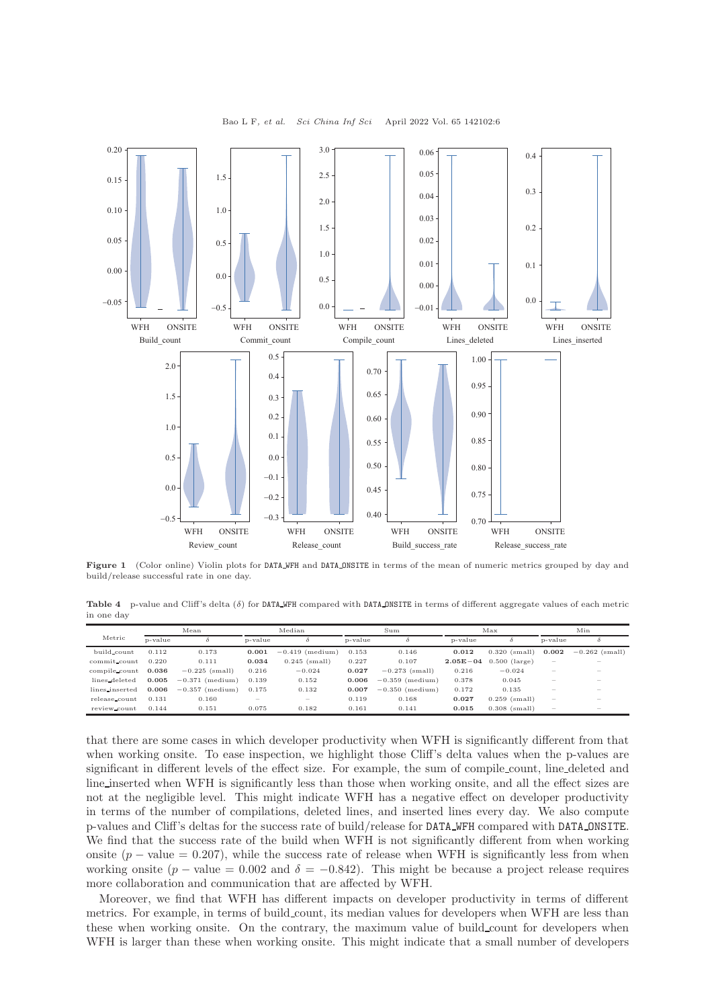<span id="page-5-0"></span>

Bao L F, et al. Sci China Inf Sci April 2022 Vol. 65 142102:6

Figure 1 (Color online) Violin plots for DATA WFH and DATA ONSITE in terms of the mean of numeric metrics grouped by day and build/release successful rate in one day.

<span id="page-5-1"></span>**Table 4** p-value and Cliff's delta  $(\delta)$  for DATA WFH compared with DATA ONSITE in terms of different aggregate values of each metric in one day

|                | Median<br>Mean |                   | Sum     |                          | Max     |                   | Min          |                 |                                   |                          |
|----------------|----------------|-------------------|---------|--------------------------|---------|-------------------|--------------|-----------------|-----------------------------------|--------------------------|
| Metric         | p-value        |                   | p-value |                          | p-value | δ                 | p-value      |                 | p-value                           |                          |
| build_count    | 0.112          | 0.173             | 0.001   | $-0.419$ (medium)        | 0.153   | 0.146             | 0.012        | $0.320$ (small) | 0.002                             | $-0.262$ (small)         |
| commit_count   | 0.220          | 0.111             | 0.034   | $0.245$ (small)          | 0.227   | 0.107             | $2.05E - 04$ | $0.500$ (large) |                                   |                          |
| compile count  | 0.036          | $-0.225$ (small)  | 0.216   | $-0.024$                 | 0.027   | $-0.273$ (small)  | 0.216        | $-0.024$        | $\overline{\phantom{a}}$          |                          |
| lines_deleted  | 0.005          | $-0.371$ (medium) | 0.139   | 0.152                    | 0.006   | $-0.359$ (medium) | 0.378        | 0.045           | $\overline{\phantom{a}}$          |                          |
| lines_inserted | 0.006          | $-0.357$ (medium) | 0.175   | 0.132                    | 0.007   | $-0.350$ (medium) | 0.172        | 0.135           | $\hspace{0.1mm}-\hspace{0.1mm}$   | $\overline{\phantom{a}}$ |
| release_count  | 0.131          | 0.160             |         | $\overline{\phantom{a}}$ | 0.119   | 0.168             | 0.027        | $0.259$ (small) | $\hspace{0.1cm} = \hspace{0.1cm}$ |                          |
| review_count   | 0.144          | 0.151             | 0.075   | 0.182                    | 0.161   | 0.141             | 0.015        | $0.308$ (small) | $\overline{\phantom{a}}$          |                          |

that there are some cases in which developer productivity when WFH is significantly different from that when working onsite. To ease inspection, we highlight those Cliff's delta values when the p-values are significant in different levels of the effect size. For example, the sum of compile count, line deleted and line inserted when WFH is significantly less than those when working onsite, and all the effect sizes are not at the negligible level. This might indicate WFH has a negative effect on developer productivity in terms of the number of compilations, deleted lines, and inserted lines every day. We also compute p-values and Cliff's deltas for the success rate of build/release for DATA WFH compared with DATA ONSITE. We find that the success rate of the build when WFH is not significantly different from when working onsite  $(p - value = 0.207)$ , while the success rate of release when WFH is significantly less from when working onsite  $(p - value = 0.002$  and  $\delta = -0.842$ ). This might be because a project release requires more collaboration and communication that are affected by WFH.

Moreover, we find that WFH has different impacts on developer productivity in terms of different metrics. For example, in terms of build count, its median values for developers when WFH are less than these when working onsite. On the contrary, the maximum value of build count for developers when WFH is larger than these when working onsite. This might indicate that a small number of developers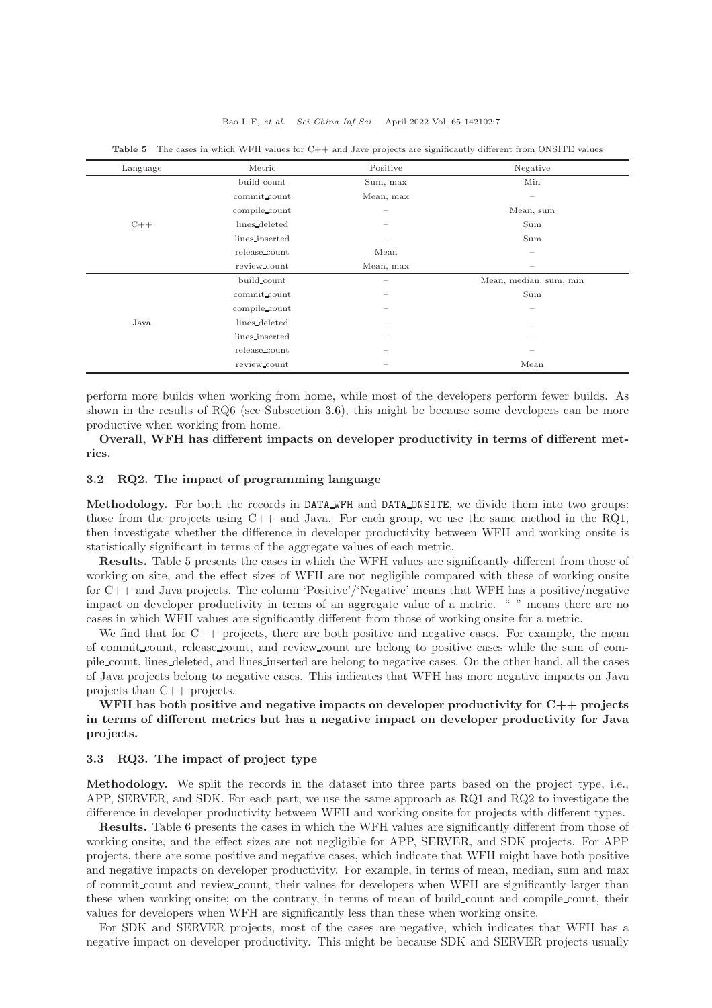| Language | Metric         | Positive                 | Negative                        |
|----------|----------------|--------------------------|---------------------------------|
|          | build count    | Sum, max                 | Min                             |
|          | commit count   | Mean, max                |                                 |
|          | compile count  | $\overline{\phantom{a}}$ | Mean, sum                       |
| $C++$    | lines_deleted  | $\hspace{0.05cm}$        | Sum                             |
|          | lines_inserted | $\qquad \qquad$          | Sum                             |
|          | release_count  | Mean                     | $\hspace{0.1mm}-\hspace{0.1mm}$ |
|          | review_count   | Mean, max                | $\sim$                          |
| Java     | build_count    | $\qquad \qquad$          | Mean, median, sum, min          |
|          | commit_count   | $\hspace{0.05cm}$        | Sum                             |
|          | compile_count  | $\hspace{0.05cm}$        |                                 |
|          | lines deleted  | $\sim$                   | -                               |
|          | lines_inserted | $\hspace{0.05cm}$        | $\overline{\phantom{a}}$        |
|          | release_count  | $\hspace{0.05cm}$        |                                 |
|          | review_count   | $\hspace{0.05cm}$        | Mean                            |

<span id="page-6-0"></span>Table 5 The cases in which WFH values for C++ and Jave projects are significantly different from ONSITE values

perform more builds when working from home, while most of the developers perform fewer builds. As shown in the results of RQ6 (see Subsection [3.6\)](#page-8-0), this might be because some developers can be more productive when working from home.

Overall, WFH has different impacts on developer productivity in terms of different metrics.

## 3.2 RQ2. The impact of programming language

Methodology. For both the records in DATA WFH and DATA ONSITE, we divide them into two groups: those from the projects using  $C++$  and Java. For each group, we use the same method in the RQ1, then investigate whether the difference in developer productivity between WFH and working onsite is statistically significant in terms of the aggregate values of each metric.

Results. Table [5](#page-6-0) presents the cases in which the WFH values are significantly different from those of working on site, and the effect sizes of WFH are not negligible compared with these of working onsite for C++ and Java projects. The column 'Positive'/'Negative' means that WFH has a positive/negative impact on developer productivity in terms of an aggregate value of a metric. "–" means there are no cases in which WFH values are significantly different from those of working onsite for a metric.

We find that for  $C_{++}$  projects, there are both positive and negative cases. For example, the mean of commit count, release count, and review count are belong to positive cases while the sum of compile count, lines deleted, and lines inserted are belong to negative cases. On the other hand, all the cases of Java projects belong to negative cases. This indicates that WFH has more negative impacts on Java projects than C++ projects.

## WFH has both positive and negative impacts on developer productivity for  $C_{++}$  projects in terms of different metrics but has a negative impact on developer productivity for Java projects.

#### 3.3 RQ3. The impact of project type

Methodology. We split the records in the dataset into three parts based on the project type, i.e., APP, SERVER, and SDK. For each part, we use the same approach as RQ1 and RQ2 to investigate the difference in developer productivity between WFH and working onsite for projects with different types.

Results. Table [6](#page-7-0) presents the cases in which the WFH values are significantly different from those of working onsite, and the effect sizes are not negligible for APP, SERVER, and SDK projects. For APP projects, there are some positive and negative cases, which indicate that WFH might have both positive and negative impacts on developer productivity. For example, in terms of mean, median, sum and max of commit count and review count, their values for developers when WFH are significantly larger than these when working onsite; on the contrary, in terms of mean of build count and compile count, their values for developers when WFH are significantly less than these when working onsite.

For SDK and SERVER projects, most of the cases are negative, which indicates that WFH has a negative impact on developer productivity. This might be because SDK and SERVER projects usually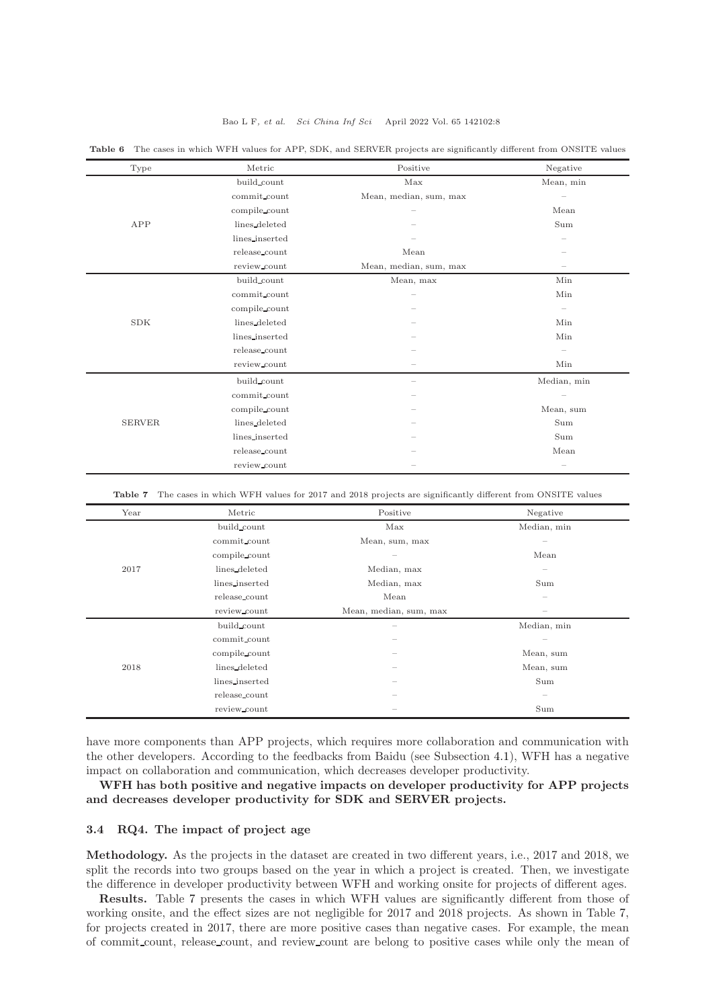#### Bao L F, et al. Sci China Inf Sci April 2022 Vol. 65 142102:8

| Type          | Metric         | Positive               | Negative                 |
|---------------|----------------|------------------------|--------------------------|
|               | build_count    | Max                    | Mean, min                |
|               | commit count   | Mean, median, sum, max | $\qquad \qquad -$        |
|               | compile_count  |                        | Mean                     |
| APP           | lines_deleted  |                        | $\operatorname{Sum}$     |
|               | lines_inserted |                        |                          |
|               | release_count  | Mean                   |                          |
|               | review_count   | Mean, median, sum, max |                          |
|               | build_count    | Mean, max              | Min                      |
|               | commit_count   |                        | Min                      |
|               | compile_count  |                        | $\overline{\phantom{0}}$ |
| <b>SDK</b>    | lines deleted  |                        | Min                      |
|               | lines_inserted |                        | Min                      |
|               | release_count  |                        |                          |
|               | review_count   |                        | Min                      |
|               | build_count    |                        | Median, min              |
|               | commit count   |                        |                          |
| <b>SERVER</b> | compile_count  |                        | Mean, sum                |
|               | lines_deleted  |                        | Sum                      |
|               | lines_inserted |                        | Sum                      |
|               | release_count  |                        | Mean                     |
|               | review_count   |                        |                          |

<span id="page-7-0"></span>Table 6 The cases in which WFH values for APP, SDK, and SERVER projects are significantly different from ONSITE values

<span id="page-7-1"></span>Table 7 The cases in which WFH values for 2017 and 2018 projects are significantly different from ONSITE values

| Year | Metric         | Positive                 | Negative                        |
|------|----------------|--------------------------|---------------------------------|
|      | build_count    | Max                      | Median, min                     |
|      | commit_count   | Mean, sum, max           | $\overline{\phantom{a}}$        |
|      | compile_count  | $\overline{\phantom{a}}$ | Mean                            |
| 2017 | lines_deleted  | Median, max              |                                 |
|      | lines_inserted | Median, max              | Sum                             |
|      | release_count  | Mean                     |                                 |
|      | review count   | Mean, median, sum, max   |                                 |
|      | build_count    | $\overline{\phantom{a}}$ | Median, min                     |
|      | commit_count   | -                        | $\qquad \qquad$                 |
| 2018 | compile count  | $\overline{\phantom{a}}$ | Mean, sum                       |
|      | lines_deleted  | $\overline{\phantom{a}}$ | Mean, sum                       |
|      | lines_inserted | $\sim$                   | Sum                             |
|      | release_count  | -                        | $\hspace{0.1mm}-\hspace{0.1mm}$ |
|      | review count   |                          | Sum                             |

have more components than APP projects, which requires more collaboration and communication with the other developers. According to the feedbacks from Baidu (see Subsection [4.1\)](#page-9-1), WFH has a negative impact on collaboration and communication, which decreases developer productivity.

WFH has both positive and negative impacts on developer productivity for APP projects and decreases developer productivity for SDK and SERVER projects.

## 3.4 RQ4. The impact of project age

Methodology. As the projects in the dataset are created in two different years, i.e., 2017 and 2018, we split the records into two groups based on the year in which a project is created. Then, we investigate the difference in developer productivity between WFH and working onsite for projects of different ages.

Results. Table [7](#page-7-1) presents the cases in which WFH values are significantly different from those of working onsite, and the effect sizes are not negligible for 2017 and 2018 projects. As shown in Table [7,](#page-7-1) for projects created in 2017, there are more positive cases than negative cases. For example, the mean of commit count, release count, and review count are belong to positive cases while only the mean of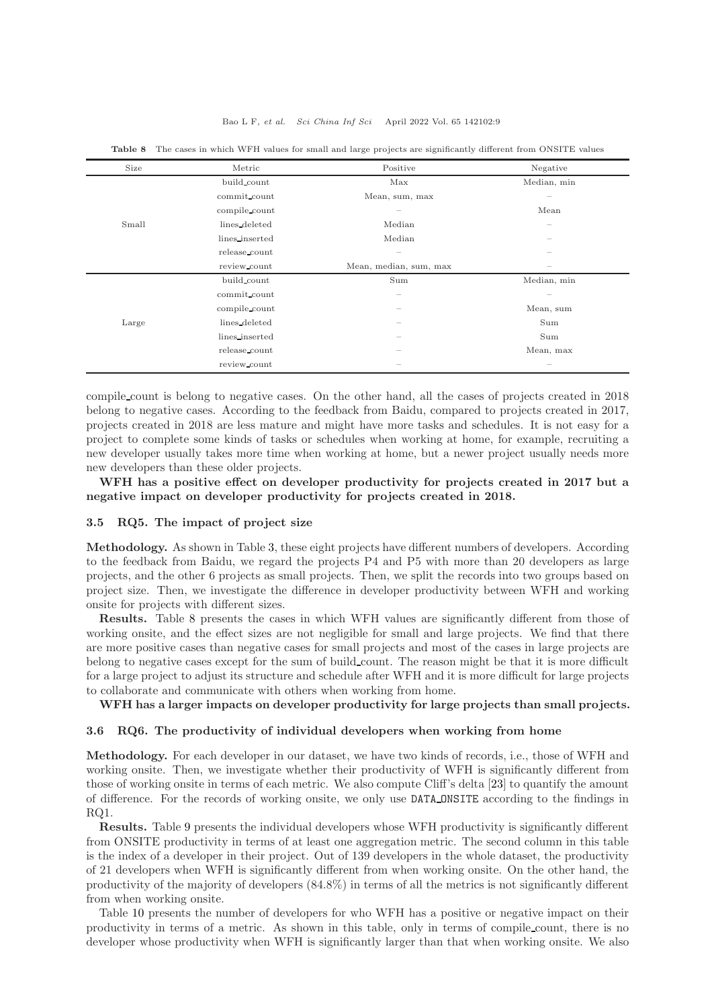| Size  | Metric         | Positive                        | Negative                 |
|-------|----------------|---------------------------------|--------------------------|
|       | build_count    | Max                             | Median, min              |
|       | commit count   | Mean, sum, max                  | $\qquad \qquad$          |
|       | compile_count  | $\hspace{0.1mm}-\hspace{0.1mm}$ | Mean                     |
| Small | lines_deleted  | Median                          | $\qquad \qquad$          |
|       | lines_inserted | Median                          |                          |
|       | release_count  | $\hspace{0.1mm}-\hspace{0.1mm}$ |                          |
|       | review_count   | Mean, median, sum, max          |                          |
|       | build_count    | Sum                             | Median, min              |
| Large | commit_count   |                                 | $\overline{\phantom{a}}$ |
|       | compile_count  |                                 | Mean, sum                |
|       | lines deleted  |                                 | Sum                      |
|       | lines_inserted | $\sim$                          | Sum                      |
|       | release_count  |                                 | Mean, max                |
|       | review_count   |                                 | $\qquad \qquad$          |

<span id="page-8-1"></span>Table 8 The cases in which WFH values for small and large projects are significantly different from ONSITE values

compile count is belong to negative cases. On the other hand, all the cases of projects created in 2018 belong to negative cases. According to the feedback from Baidu, compared to projects created in 2017, projects created in 2018 are less mature and might have more tasks and schedules. It is not easy for a project to complete some kinds of tasks or schedules when working at home, for example, recruiting a new developer usually takes more time when working at home, but a newer project usually needs more new developers than these older projects.

WFH has a positive effect on developer productivity for projects created in 2017 but a negative impact on developer productivity for projects created in 2018.

#### <span id="page-8-2"></span>3.5 RQ5. The impact of project size

Methodology. As shown in Table [3,](#page-3-0) these eight projects have different numbers of developers. According to the feedback from Baidu, we regard the projects P4 and P5 with more than 20 developers as large projects, and the other 6 projects as small projects. Then, we split the records into two groups based on project size. Then, we investigate the difference in developer productivity between WFH and working onsite for projects with different sizes.

Results. Table [8](#page-8-1) presents the cases in which WFH values are significantly different from those of working onsite, and the effect sizes are not negligible for small and large projects. We find that there are more positive cases than negative cases for small projects and most of the cases in large projects are belong to negative cases except for the sum of build count. The reason might be that it is more difficult for a large project to adjust its structure and schedule after WFH and it is more difficult for large projects to collaborate and communicate with others when working from home.

WFH has a larger impacts on developer productivity for large projects than small projects.

### <span id="page-8-0"></span>3.6 RQ6. The productivity of individual developers when working from home

Methodology. For each developer in our dataset, we have two kinds of records, i.e., those of WFH and working onsite. Then, we investigate whether their productivity of WFH is significantly different from those of working onsite in terms of each metric. We also compute Cliff's delta [\[23\]](#page-13-12) to quantify the amount of difference. For the records of working onsite, we only use DATA ONSITE according to the findings in RQ1.

Results. Table [9](#page-9-2) presents the individual developers whose WFH productivity is significantly different from ONSITE productivity in terms of at least one aggregation metric. The second column in this table is the index of a developer in their project. Out of 139 developers in the whole dataset, the productivity of 21 developers when WFH is significantly different from when working onsite. On the other hand, the productivity of the majority of developers (84.8%) in terms of all the metrics is not significantly different from when working onsite.

Table [10](#page-9-3) presents the number of developers for who WFH has a positive or negative impact on their productivity in terms of a metric. As shown in this table, only in terms of compile count, there is no developer whose productivity when WFH is significantly larger than that when working onsite. We also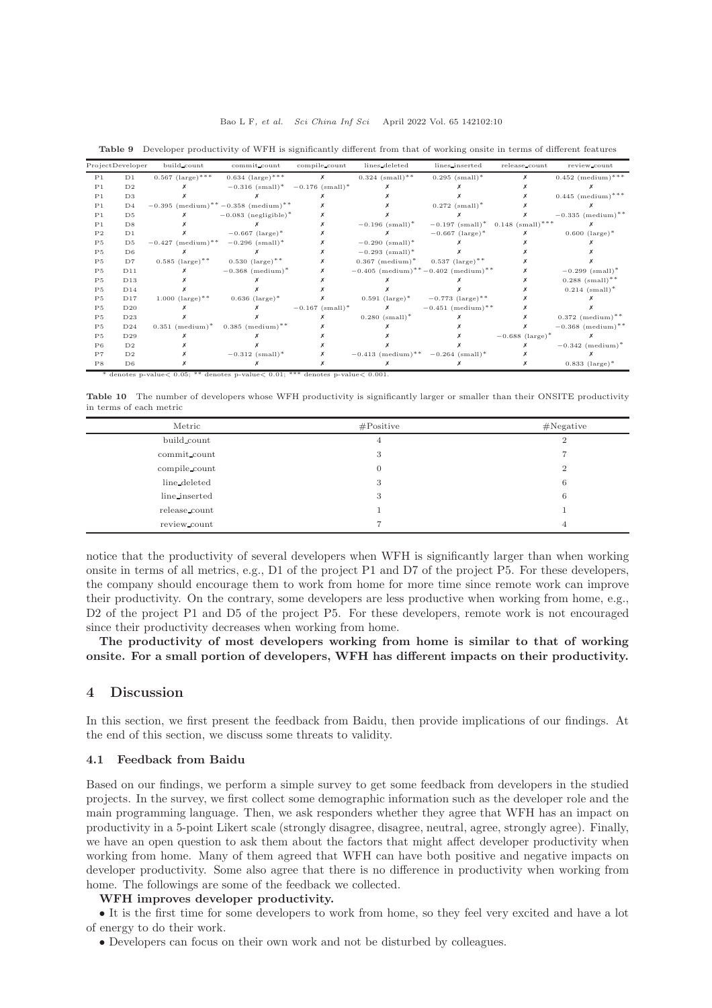|                | ProjectDeveloper | build count                     | commit count                                                                               | compile_count                 | lines_deleted                                                 | lines_inserted                                                  | release_count                 | review_count                    |
|----------------|------------------|---------------------------------|--------------------------------------------------------------------------------------------|-------------------------------|---------------------------------------------------------------|-----------------------------------------------------------------|-------------------------------|---------------------------------|
| P1             | D1               | $0.567 \text{ (large)}$ ***     | $0.634 \text{ (large)}$ *** $\times$                                                       |                               | $0.324$ (small) <sup>**</sup>                                 | $0.295$ (small) <sup>*</sup>                                    | x                             | $0.452$ (medium) <sup>***</sup> |
| P <sub>1</sub> | D <sub>2</sub>   |                                 | $-0.316$ (small) <sup>*</sup> $-0.176$ (small) <sup>*</sup>                                |                               |                                                               |                                                                 |                               |                                 |
| P <sub>1</sub> | D3               |                                 |                                                                                            |                               |                                                               |                                                                 |                               | $0.445$ (medium) <sup>***</sup> |
| P <sub>1</sub> | D <sub>4</sub>   |                                 | $-0.395$ (medium) <sup>**</sup> $-0.358$ (medium) <sup>**</sup>                            |                               |                                                               | $0.272~(\text{small})^*$                                        |                               |                                 |
| P <sub>1</sub> | D <sub>5</sub>   |                                 | $-0.083$ (negligible) <sup>*</sup>                                                         |                               |                                                               |                                                                 |                               | $-0.335$ (medium) <sup>**</sup> |
| P <sub>1</sub> | D8               |                                 |                                                                                            |                               | $-0.196$ (small) <sup>*</sup>                                 | $-0.197$ (small) <sup>*</sup> 0.148 (small) <sup>***</sup>      |                               |                                 |
| P <sub>2</sub> | D1               |                                 | $-0.667$ (large) <sup>*</sup>                                                              |                               |                                                               | $-0.667$ (large) <sup>*</sup>                                   |                               | $0.600$ (large) <sup>*</sup>    |
| P <sub>5</sub> | D <sub>5</sub>   | $-0.427$ (medium) <sup>**</sup> | $-0.296$ (small) <sup>*</sup>                                                              |                               | $-0.290$ (small) <sup>*</sup>                                 |                                                                 |                               |                                 |
| P <sub>5</sub> | D <sub>6</sub>   |                                 |                                                                                            |                               | $-0.293$ (small) <sup>*</sup>                                 |                                                                 |                               |                                 |
| P <sub>5</sub> | D7               | $0.585 \text{ (large)}$ **      | $0.530 \text{ (large)}$ **                                                                 |                               | $0.367 \text{ (medium)}^*$ 0.537 (large) <sup>**</sup>        |                                                                 |                               |                                 |
| P <sub>5</sub> | D11              |                                 | $-0.368$ (medium) <sup>*</sup>                                                             |                               |                                                               | $-0.405$ (medium) <sup>**</sup> $-0.402$ (medium) <sup>**</sup> |                               | $-0.299$ (small) <sup>*</sup>   |
| P <sub>5</sub> | D13              |                                 |                                                                                            |                               |                                                               |                                                                 |                               | $0.288$ (small) <sup>**</sup>   |
| P <sub>5</sub> | D14              |                                 |                                                                                            |                               |                                                               |                                                                 |                               | $0.214$ (small) <sup>*</sup>    |
| P <sub>5</sub> | D17              | $1.000 \text{ (large)}$ **      | $0.636 \text{ (large)}$ *                                                                  |                               |                                                               | $0.591 \text{ (large)}^* \qquad -0.773 \text{ (large)}^{**}$    |                               |                                 |
| P <sub>5</sub> | D20              |                                 |                                                                                            | $-0.167$ (small) <sup>*</sup> |                                                               | $-0.451$ (medium) <sup>**</sup>                                 |                               |                                 |
| P <sub>5</sub> | D23              |                                 |                                                                                            |                               | $0.280$ (small) <sup>*</sup>                                  |                                                                 |                               | $0.372$ (medium) <sup>**</sup>  |
| P <sub>5</sub> | D24              |                                 | $0.351 \text{ (medium)}^* \quad 0.385 \text{ (medium)}^{**}$                               |                               |                                                               |                                                                 |                               | $-0.368$ (medium) <sup>**</sup> |
| P <sub>5</sub> | D29              |                                 |                                                                                            |                               |                                                               |                                                                 | $-0.688$ (large) <sup>*</sup> |                                 |
| P6             | D <sub>2</sub>   |                                 |                                                                                            |                               |                                                               |                                                                 |                               | $-0.342$ (medium) <sup>*</sup>  |
| P7             | D <sub>2</sub>   |                                 | $-0.312$ (small) <sup>*</sup>                                                              |                               | $-0.413$ (medium) <sup>**</sup> $-0.264$ (small) <sup>*</sup> |                                                                 |                               |                                 |
| P8             | D6               |                                 |                                                                                            |                               |                                                               |                                                                 |                               | $0.833 \text{ (large)}^*$       |
|                |                  |                                 | * denotes p-value < $0.05$ ; ** denotes p-value < $0.01$ ; *** denotes p-value < $0.001$ . |                               |                                                               |                                                                 |                               |                                 |

<span id="page-9-2"></span>Table 9 Developer productivity of WFH is significantly different from that of working onsite in terms of different features

<span id="page-9-3"></span>Table 10 The number of developers whose WFH productivity is significantly larger or smaller than their ONSITE productivity in terms of each metric

| Metric        | #Positive    | #Negative      |
|---------------|--------------|----------------|
| build count   | 4            |                |
| commit count  | 3            |                |
| compile count | $\mathbf{0}$ | $\overline{2}$ |
| line_deleted  | 3            | 6              |
| line_inserted | 3            | 6              |
| release_count |              |                |
| review_count  |              | 4              |

notice that the productivity of several developers when WFH is significantly larger than when working onsite in terms of all metrics, e.g., D1 of the project P1 and D7 of the project P5. For these developers, the company should encourage them to work from home for more time since remote work can improve their productivity. On the contrary, some developers are less productive when working from home, e.g., D2 of the project P1 and D5 of the project P5. For these developers, remote work is not encouraged since their productivity decreases when working from home.

The productivity of most developers working from home is similar to that of working onsite. For a small portion of developers, WFH has different impacts on their productivity.

## <span id="page-9-0"></span>4 Discussion

In this section, we first present the feedback from Baidu, then provide implications of our findings. At the end of this section, we discuss some threats to validity.

## <span id="page-9-1"></span>4.1 Feedback from Baidu

Based on our findings, we perform a simple survey to get some feedback from developers in the studied projects. In the survey, we first collect some demographic information such as the developer role and the main programming language. Then, we ask responders whether they agree that WFH has an impact on productivity in a 5-point Likert scale (strongly disagree, disagree, neutral, agree, strongly agree). Finally, we have an open question to ask them about the factors that might affect developer productivity when working from home. Many of them agreed that WFH can have both positive and negative impacts on developer productivity. Some also agree that there is no difference in productivity when working from home. The followings are some of the feedback we collected.

### WFH improves developer productivity.

• It is the first time for some developers to work from home, so they feel very excited and have a lot of energy to do their work.

• Developers can focus on their own work and not be disturbed by colleagues.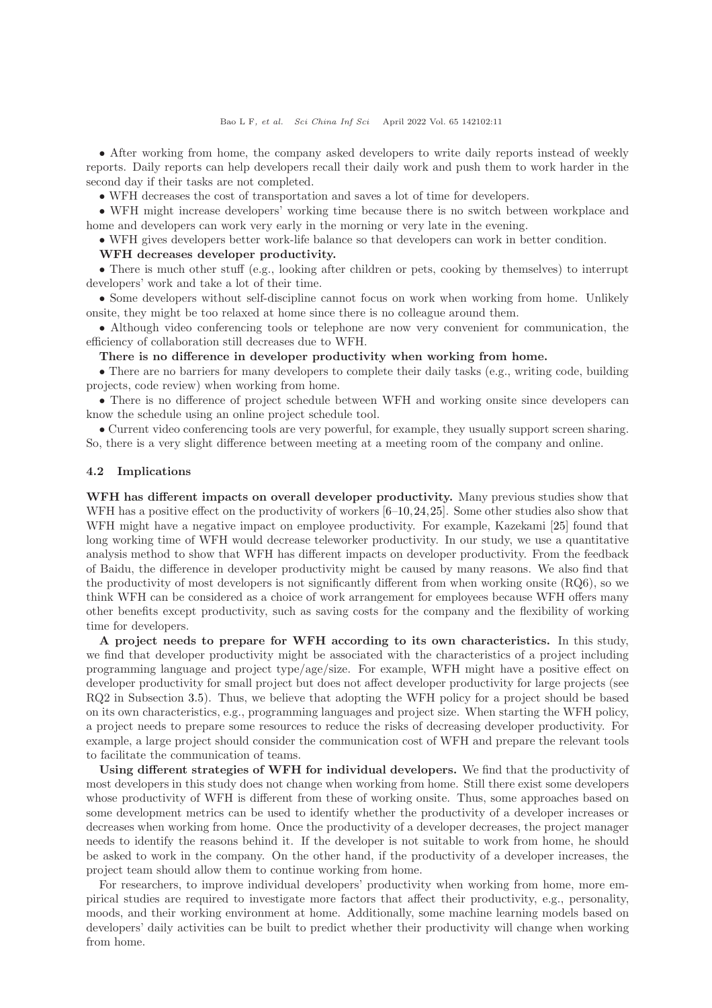• After working from home, the company asked developers to write daily reports instead of weekly reports. Daily reports can help developers recall their daily work and push them to work harder in the second day if their tasks are not completed.

• WFH decreases the cost of transportation and saves a lot of time for developers.

• WFH might increase developers' working time because there is no switch between workplace and home and developers can work very early in the morning or very late in the evening.

• WFH gives developers better work-life balance so that developers can work in better condition.

## WFH decreases developer productivity.

• There is much other stuff (e.g., looking after children or pets, cooking by themselves) to interrupt developers' work and take a lot of their time.

• Some developers without self-discipline cannot focus on work when working from home. Unlikely onsite, they might be too relaxed at home since there is no colleague around them.

• Although video conferencing tools or telephone are now very convenient for communication, the efficiency of collaboration still decreases due to WFH.

There is no difference in developer productivity when working from home.

• There are no barriers for many developers to complete their daily tasks (e.g., writing code, building projects, code review) when working from home.

• There is no difference of project schedule between WFH and working onsite since developers can know the schedule using an online project schedule tool.

• Current video conferencing tools are very powerful, for example, they usually support screen sharing. So, there is a very slight difference between meeting at a meeting room of the company and online.

#### 4.2 Implications

WFH has different impacts on overall developer productivity. Many previous studies show that WFH has a positive effect on the productivity of workers  $[6-10,24,25]$  $[6-10,24,25]$  $[6-10,24,25]$ . Some other studies also show that WFH might have a negative impact on employee productivity. For example, Kazekami [\[25\]](#page-13-14) found that long working time of WFH would decrease teleworker productivity. In our study, we use a quantitative analysis method to show that WFH has different impacts on developer productivity. From the feedback of Baidu, the difference in developer productivity might be caused by many reasons. We also find that the productivity of most developers is not significantly different from when working onsite (RQ6), so we think WFH can be considered as a choice of work arrangement for employees because WFH offers many other benefits except productivity, such as saving costs for the company and the flexibility of working time for developers.

A project needs to prepare for WFH according to its own characteristics. In this study, we find that developer productivity might be associated with the characteristics of a project including programming language and project type/age/size. For example, WFH might have a positive effect on developer productivity for small project but does not affect developer productivity for large projects (see RQ2 in Subsection [3.5\)](#page-8-2). Thus, we believe that adopting the WFH policy for a project should be based on its own characteristics, e.g., programming languages and project size. When starting the WFH policy, a project needs to prepare some resources to reduce the risks of decreasing developer productivity. For example, a large project should consider the communication cost of WFH and prepare the relevant tools to facilitate the communication of teams.

Using different strategies of WFH for individual developers. We find that the productivity of most developers in this study does not change when working from home. Still there exist some developers whose productivity of WFH is different from these of working onsite. Thus, some approaches based on some development metrics can be used to identify whether the productivity of a developer increases or decreases when working from home. Once the productivity of a developer decreases, the project manager needs to identify the reasons behind it. If the developer is not suitable to work from home, he should be asked to work in the company. On the other hand, if the productivity of a developer increases, the project team should allow them to continue working from home.

For researchers, to improve individual developers' productivity when working from home, more empirical studies are required to investigate more factors that affect their productivity, e.g., personality, moods, and their working environment at home. Additionally, some machine learning models based on developers' daily activities can be built to predict whether their productivity will change when working from home.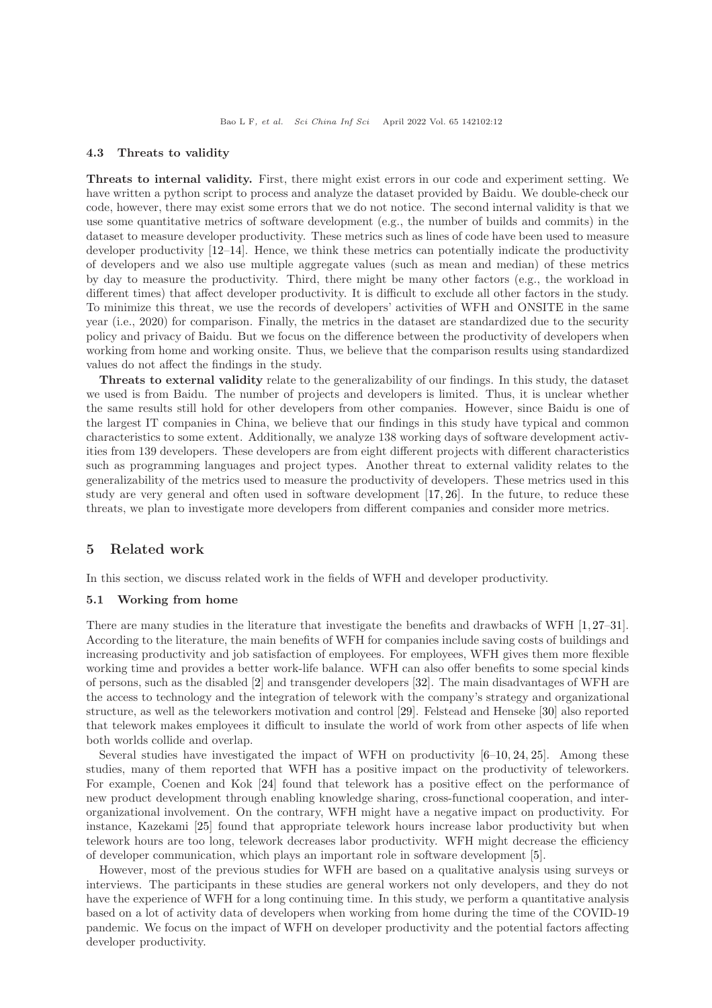#### 4.3 Threats to validity

Threats to internal validity. First, there might exist errors in our code and experiment setting. We have written a python script to process and analyze the dataset provided by Baidu. We double-check our code, however, there may exist some errors that we do not notice. The second internal validity is that we use some quantitative metrics of software development (e.g., the number of builds and commits) in the dataset to measure developer productivity. These metrics such as lines of code have been used to measure developer productivity [\[12–](#page-13-2)[14\]](#page-13-3). Hence, we think these metrics can potentially indicate the productivity of developers and we also use multiple aggregate values (such as mean and median) of these metrics by day to measure the productivity. Third, there might be many other factors (e.g., the workload in different times) that affect developer productivity. It is difficult to exclude all other factors in the study. To minimize this threat, we use the records of developers' activities of WFH and ONSITE in the same year (i.e., 2020) for comparison. Finally, the metrics in the dataset are standardized due to the security policy and privacy of Baidu. But we focus on the difference between the productivity of developers when working from home and working onsite. Thus, we believe that the comparison results using standardized values do not affect the findings in the study.

Threats to external validity relate to the generalizability of our findings. In this study, the dataset we used is from Baidu. The number of projects and developers is limited. Thus, it is unclear whether the same results still hold for other developers from other companies. However, since Baidu is one of the largest IT companies in China, we believe that our findings in this study have typical and common characteristics to some extent. Additionally, we analyze 138 working days of software development activities from 139 developers. These developers are from eight different projects with different characteristics such as programming languages and project types. Another threat to external validity relates to the generalizability of the metrics used to measure the productivity of developers. These metrics used in this study are very general and often used in software development [\[17,](#page-13-6) [26\]](#page-13-15). In the future, to reduce these threats, we plan to investigate more developers from different companies and consider more metrics.

## <span id="page-11-0"></span>5 Related work

In this section, we discuss related work in the fields of WFH and developer productivity.

## 5.1 Working from home

There are many studies in the literature that investigate the benefits and drawbacks of WFH [\[1,](#page-12-0) [27](#page-13-16)[–31\]](#page-13-17). According to the literature, the main benefits of WFH for companies include saving costs of buildings and increasing productivity and job satisfaction of employees. For employees, WFH gives them more flexible working time and provides a better work-life balance. WFH can also offer benefits to some special kinds of persons, such as the disabled [\[2\]](#page-12-6) and transgender developers [\[32\]](#page-13-18). The main disadvantages of WFH are the access to technology and the integration of telework with the company's strategy and organizational structure, as well as the teleworkers motivation and control [\[29\]](#page-13-19). Felstead and Henseke [\[30\]](#page-13-20) also reported that telework makes employees it difficult to insulate the world of work from other aspects of life when both worlds collide and overlap.

Several studies have investigated the impact of WFH on productivity  $[6-10, 24, 25]$  $[6-10, 24, 25]$  $[6-10, 24, 25]$  $[6-10, 24, 25]$ . Among these studies, many of them reported that WFH has a positive impact on the productivity of teleworkers. For example, Coenen and Kok [\[24\]](#page-13-13) found that telework has a positive effect on the performance of new product development through enabling knowledge sharing, cross-functional cooperation, and interorganizational involvement. On the contrary, WFH might have a negative impact on productivity. For instance, Kazekami [\[25\]](#page-13-14) found that appropriate telework hours increase labor productivity but when telework hours are too long, telework decreases labor productivity. WFH might decrease the efficiency of developer communication, which plays an important role in software development [\[5\]](#page-12-3).

However, most of the previous studies for WFH are based on a qualitative analysis using surveys or interviews. The participants in these studies are general workers not only developers, and they do not have the experience of WFH for a long continuing time. In this study, we perform a quantitative analysis based on a lot of activity data of developers when working from home during the time of the COVID-19 pandemic. We focus on the impact of WFH on developer productivity and the potential factors affecting developer productivity.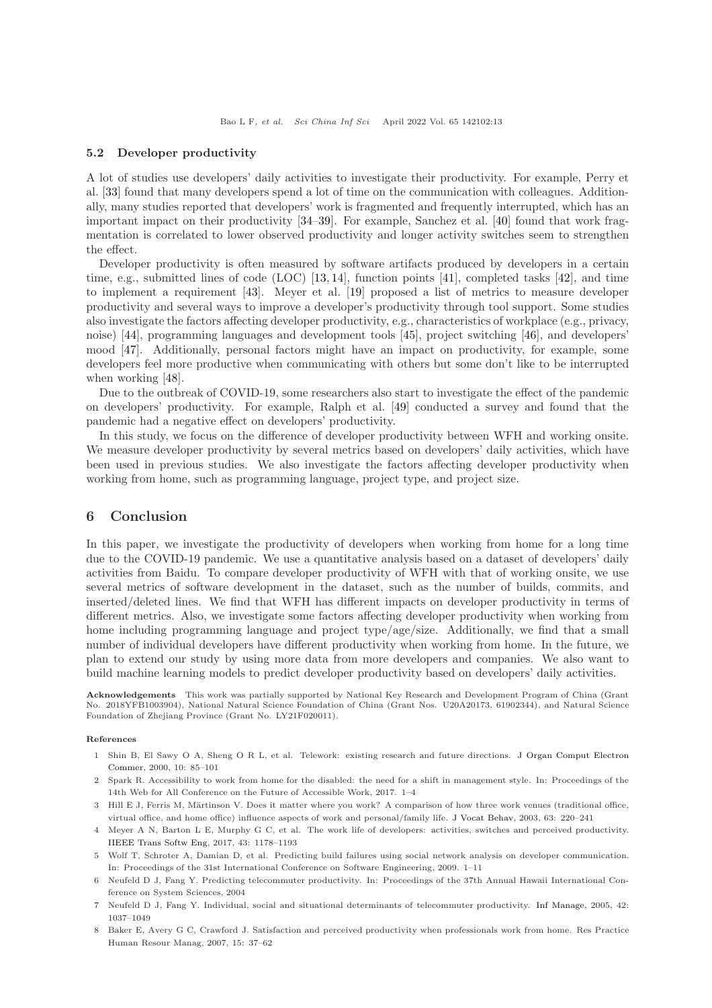#### 5.2 Developer productivity

A lot of studies use developers' daily activities to investigate their productivity. For example, Perry et al. [\[33\]](#page-13-21) found that many developers spend a lot of time on the communication with colleagues. Additionally, many studies reported that developers' work is fragmented and frequently interrupted, which has an important impact on their productivity [\[34](#page-13-22)[–39\]](#page-13-23). For example, Sanchez et al. [\[40\]](#page-13-24) found that work fragmentation is correlated to lower observed productivity and longer activity switches seem to strengthen the effect.

Developer productivity is often measured by software artifacts produced by developers in a certain time, e.g., submitted lines of code (LOC) [\[13,](#page-13-25) [14\]](#page-13-3), function points [\[41\]](#page-13-26), completed tasks [\[42\]](#page-13-27), and time to implement a requirement [\[43\]](#page-13-28). Meyer et al. [\[19\]](#page-13-8) proposed a list of metrics to measure developer productivity and several ways to improve a developer's productivity through tool support. Some studies also investigate the factors affecting developer productivity, e.g., characteristics of workplace (e.g., privacy, noise) [\[44\]](#page-14-1), programming languages and development tools [\[45\]](#page-14-2), project switching [\[46\]](#page-14-3), and developers' mood [\[47\]](#page-14-4). Additionally, personal factors might have an impact on productivity, for example, some developers feel more productive when communicating with others but some don't like to be interrupted when working [\[48\]](#page-14-5).

Due to the outbreak of COVID-19, some researchers also start to investigate the effect of the pandemic on developers' productivity. For example, Ralph et al. [\[49\]](#page-14-6) conducted a survey and found that the pandemic had a negative effect on developers' productivity.

In this study, we focus on the difference of developer productivity between WFH and working onsite. We measure developer productivity by several metrics based on developers' daily activities, which have been used in previous studies. We also investigate the factors affecting developer productivity when working from home, such as programming language, project type, and project size.

## <span id="page-12-5"></span>6 Conclusion

In this paper, we investigate the productivity of developers when working from home for a long time due to the COVID-19 pandemic. We use a quantitative analysis based on a dataset of developers' daily activities from Baidu. To compare developer productivity of WFH with that of working onsite, we use several metrics of software development in the dataset, such as the number of builds, commits, and inserted/deleted lines. We find that WFH has different impacts on developer productivity in terms of different metrics. Also, we investigate some factors affecting developer productivity when working from home including programming language and project type/age/size. Additionally, we find that a small number of individual developers have different productivity when working from home. In the future, we plan to extend our study by using more data from more developers and companies. We also want to build machine learning models to predict developer productivity based on developers' daily activities.

Acknowledgements This work was partially supported by National Key Research and Development Program of China (Grant No. 2018YFB1003904), National Natural Science Foundation of China (Grant Nos. U20A20173, 61902344), and Natural Science Foundation of Zhejiang Province (Grant No. LY21F020011).

#### <span id="page-12-0"></span>References

- 1 Shin B, El Sawy O A, Sheng O R L, et al. Telework: existing research and future directions. J Organ Comput Electron Commer, 2000, 10: 85–101
- <span id="page-12-6"></span>2 Spark R. Accessibility to work from home for the disabled: the need for a shift in management style. In: Proceedings of the 14th Web for All Conference on the Future of Accessible Work, 2017. 1–4
- <span id="page-12-1"></span>3 Hill E J, Ferris M, Märtinson V. Does it matter where you work? A comparison of how three work venues (traditional office, virtual office, and home office) influence aspects of work and personal/family life. [J Vocat Behav,](https://doi.org/10.1016/S0001-8791(03)00042-3) 2003, 63: 220–241
- <span id="page-12-2"></span>4 Meyer A N, Barton L E, Murphy G C, et al. The work life of developers: activities, switches and perceived productivity. [IIEEE Trans Softw Eng,](https://doi.org/10.1109/TSE.2017.2656886) 2017, 43: 1178–1193
- <span id="page-12-3"></span>5 Wolf T, Schroter A, Damian D, et al. Predicting build failures using social network analysis on developer communication. In: Proceedings of the 31st International Conference on Software Engineering, 2009. 1–11
- <span id="page-12-4"></span>6 Neufeld D J, Fang Y. Predicting telecommuter productivity. In: Proceedings of the 37th Annual Hawaii International Conference on System Sciences, 2004
- 7 Neufeld D J, Fang Y. Individual, social and situational determinants of telecommuter productivity. [Inf Manage,](https://doi.org/10.1016/j.im.2004.12.001) 2005, 42: 1037–1049
- 8 Baker E, Avery G C, Crawford J. Satisfaction and perceived productivity when professionals work from home. Res Practice Human Resour Manag, 2007, 15: 37–62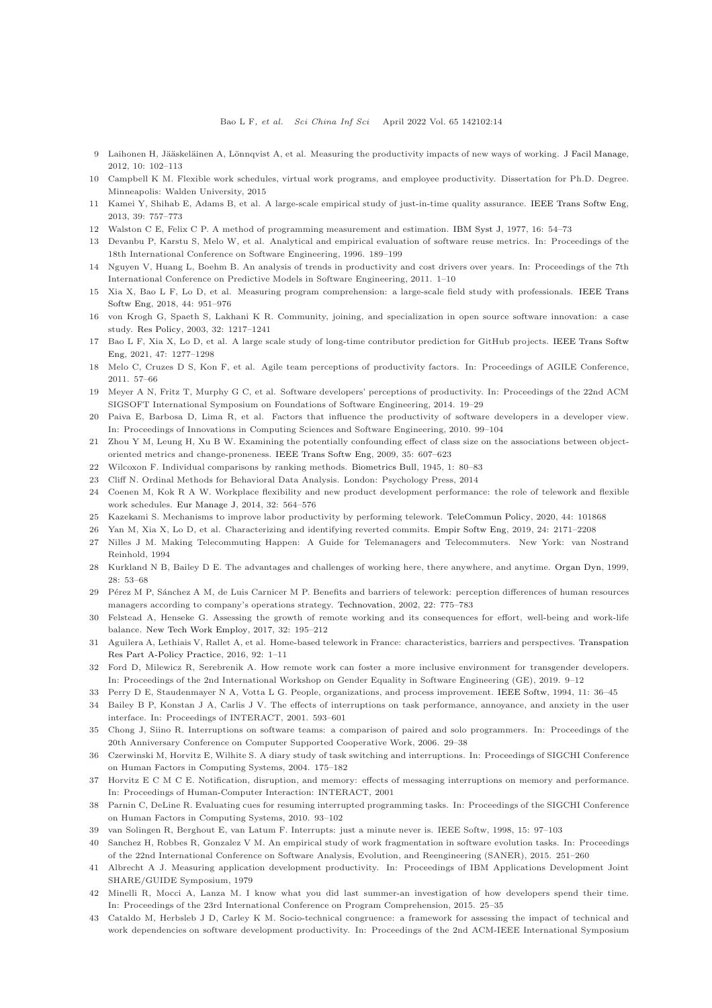- <span id="page-13-0"></span>9 Laihonen H, Jääskeläinen A, Lönnqvist A, et al. Measuring the productivity impacts of new ways of working. [J Facil Manage,](https://doi.org/10.1108/14725961211218749) 2012, 10: 102–113
- <span id="page-13-1"></span>10 Campbell K M. Flexible work schedules, virtual work programs, and employee productivity. Dissertation for Ph.D. Degree. Minneapolis: Walden University, 2015
- <span id="page-13-2"></span>11 Kamei Y, Shihab E, Adams B, et al. A large-scale empirical study of just-in-time quality assurance. [IEEE Trans Softw Eng,](https://doi.org/10.1109/TSE.2012.70) 2013, 39: 757–773
- <span id="page-13-25"></span>12 Walston C E, Felix C P. A method of programming measurement and estimation. [IBM Syst J,](https://doi.org/10.1147/sj.161.0054) 1977, 16: 54–73
- <span id="page-13-3"></span>13 Devanbu P, Karstu S, Melo W, et al. Analytical and empirical evaluation of software reuse metrics. In: Proceedings of the 18th International Conference on Software Engineering, 1996. 189–199
- <span id="page-13-4"></span>14 Nguyen V, Huang L, Boehm B. An analysis of trends in productivity and cost drivers over years. In: Proceedings of the 7th International Conference on Predictive Models in Software Engineering, 2011. 1–10
- <span id="page-13-5"></span>15 Xia X, Bao L F, Lo D, et al. Measuring program comprehension: a large-scale field study with professionals. IEEE Trans Softw Eng, 2018, 44: 951–976
- <span id="page-13-6"></span>16 von Krogh G, Spaeth S, Lakhani K R. Community, joining, and specialization in open source software innovation: a case study. [Res Policy,](https://doi.org/10.1016/S0048-7333(03)00050-7) 2003, 32: 1217–1241
- <span id="page-13-7"></span>17 Bao L F, Xia X, Lo D, et al. A large scale study of long-time contributor prediction for GitHub projects. IEEE Trans Softw Eng, 2021, 47: 1277–1298
- <span id="page-13-8"></span>18 Melo C, Cruzes D S, Kon F, et al. Agile team perceptions of productivity factors. In: Proceedings of AGILE Conference, 2011. 57–66
- <span id="page-13-9"></span>19 Meyer A N, Fritz T, Murphy G C, et al. Software developers' perceptions of productivity. In: Proceedings of the 22nd ACM SIGSOFT International Symposium on Foundations of Software Engineering, 2014. 19–29
- <span id="page-13-10"></span>20 Paiva E, Barbosa D, Lima R, et al. Factors that influence the productivity of software developers in a developer view. In: Proceedings of Innovations in Computing Sciences and Software Engineering, 2010. 99–104
- <span id="page-13-11"></span>21 Zhou Y M, Leung H, Xu B W. Examining the potentially confounding effect of class size on the associations between objectoriented metrics and change-proneness. [IEEE Trans Softw Eng,](https://doi.org/10.1109/TSE.2009.32) 2009, 35: 607–623
- <span id="page-13-12"></span>22 Wilcoxon F. Individual comparisons by ranking methods. [Biometrics Bull,](https://doi.org/10.2307/3001968) 1945, 1: 80–83
- <span id="page-13-13"></span>23 Cliff N. Ordinal Methods for Behavioral Data Analysis. London: Psychology Press, 2014
- 24 Coenen M, Kok R A W. Workplace flexibility and new product development performance: the role of telework and flexible work schedules. [Eur Manage J,](https://doi.org/10.1016/j.emj.2013.12.003) 2014, 32: 564–576
- <span id="page-13-15"></span><span id="page-13-14"></span>25 Kazekami S. Mechanisms to improve labor productivity by performing telework. [TeleCommun Policy,](https://doi.org/10.1016/j.telpol.2019.101868) 2020, 44: 101868
- <span id="page-13-16"></span>26 Yan M, Xia X, Lo D, et al. Characterizing and identifying reverted commits. [Empir Softw Eng,](https://doi.org/10.1007/s10664-019-09688-8) 2019, 24: 2171–2208
- 27 Nilles J M. Making Telecommuting Happen: A Guide for Telemanagers and Telecommuters. New York: van Nostrand Reinhold, 1994
- <span id="page-13-19"></span>28 Kurkland N B, Bailey D E. The advantages and challenges of working here, there anywhere, and anytime. [Organ Dyn,](https://doi.org/10.1016/S0090-2616(00)80016-9) 1999, 28: 53–68
- 29 Pérez M P, Sánchez A M, de Luis Carnicer M P. Benefits and barriers of telework: perception differences of human resources managers according to company's operations strategy. [Technovation,](https://doi.org/10.1016/S0166-4972(01)00069-4) 2002, 22: 775–783
- <span id="page-13-20"></span><span id="page-13-17"></span>30 Felstead A, Henseke G. Assessing the growth of remote working and its consequences for effort, well-being and work-life balance. [New Tech Work Employ,](https://doi.org/10.1111/ntwe.12097) 2017, 32: 195–212
- 31 Aguilera A, Lethiais V, Rallet A, et al. Home-based telework in France: characteristics, barriers and perspectives. Transpation Res Part A-Policy Practice, 2016, 92: 1–11
- <span id="page-13-18"></span>32 Ford D, Milewicz R, Serebrenik A. How remote work can foster a more inclusive environment for transgender developers. In: Proceedings of the 2nd International Workshop on Gender Equality in Software Engineering (GE), 2019. 9–12
- <span id="page-13-22"></span><span id="page-13-21"></span>33 Perry D E, Staudenmayer N A, Votta L G. People, organizations, and process improvement. [IEEE Softw,](https://doi.org/10.1109/52.300082) 1994, 11: 36–45
- 34 Bailey B P, Konstan J A, Carlis J V. The effects of interruptions on task performance, annoyance, and anxiety in the user interface. In: Proceedings of INTERACT, 2001. 593–601
- 35 Chong J, Siino R. Interruptions on software teams: a comparison of paired and solo programmers. In: Proceedings of the 20th Anniversary Conference on Computer Supported Cooperative Work, 2006. 29–38
- 36 Czerwinski M, Horvitz E, Wilhite S. A diary study of task switching and interruptions. In: Proceedings of SIGCHI Conference on Human Factors in Computing Systems, 2004. 175–182
- 37 Horvitz E C M C E. Notification, disruption, and memory: effects of messaging interruptions on memory and performance. In: Proceedings of Human-Computer Interaction: INTERACT, 2001
- 38 Parnin C, DeLine R. Evaluating cues for resuming interrupted programming tasks. In: Proceedings of the SIGCHI Conference on Human Factors in Computing Systems, 2010. 93–102
- <span id="page-13-24"></span><span id="page-13-23"></span>39 van Solingen R, Berghout E, van Latum F. Interrupts: just a minute never is. IEEE Softw, 1998, 15: 97–103
- 40 Sanchez H, Robbes R, Gonzalez V M. An empirical study of work fragmentation in software evolution tasks. In: Proceedings of the 22nd International Conference on Software Analysis, Evolution, and Reengineering (SANER), 2015. 251–260
- <span id="page-13-26"></span>41 Albrecht A J. Measuring application development productivity. In: Proceedings of IBM Applications Development Joint SHARE/GUIDE Symposium, 1979
- <span id="page-13-27"></span>42 Minelli R, Mocci A, Lanza M. I know what you did last summer-an investigation of how developers spend their time. In: Proceedings of the 23rd International Conference on Program Comprehension, 2015. 25–35
- <span id="page-13-28"></span>43 Cataldo M, Herbsleb J D, Carley K M. Socio-technical congruence: a framework for assessing the impact of technical and work dependencies on software development productivity. In: Proceedings of the 2nd ACM-IEEE International Symposium